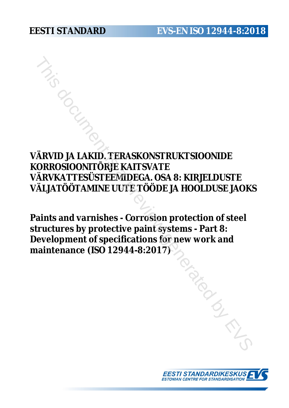**VÄRVID JA LAKID. TERASKONSTRUKTSIOONIDE KORROSIOONITÕRJE KAITSVATE VÄRVKATTESÜSTEEMIDEGA. OSA 8: KIRJELDUSTE VÄLJATÖÖTAMINE UUTE TÖÖDE JA HOOLDUSE JAOKS** FRANCH CONSTRUKTSIOON<br>
THIS DESCRIPTION OF THE RATE ON THE RANCH CONSTRUCT ON A HOLD USE THAT ON THE TO THAT AND A BUT A PROST OF THE STATE OF THE SERVED OF THE SERVED OF THE SERVED OF THE SERVED OF THE SERVED OF THE SERVE

**Paints and varnishes - Corrosion protection of steel structures by protective paint systems - Part 8: Development of specifications for new work and maintenance (ISO 12944-8:2017)**

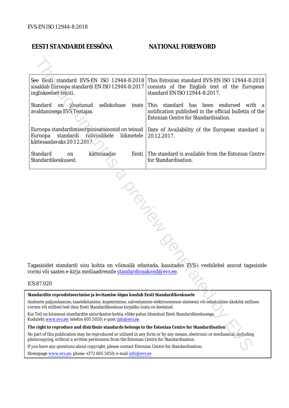# **EESTI STANDARDI EESSÕNA NATIONAL FOREWORD**

| See Eesti standard EVS-EN ISO 12944-8:2018<br>This Estonian standard EVS-EN ISO 12944-8:2018<br>sisaldab Euroopa standardi EN ISO 12944-8:2017<br>consists of the English text of the European<br>standard EN ISO 12944-8:2017.<br>ingliskeelset teksti. |  |  |
|----------------------------------------------------------------------------------------------------------------------------------------------------------------------------------------------------------------------------------------------------------|--|--|
| Standard<br>sellekohase<br>on jõustunud<br>This standard has been endorsed<br>with a<br>teate<br>avaldamisega EVS Teatajas<br>notification published in the official bulletin of the<br>Estonian Centre for Standardisation.                             |  |  |
| Euroopa standardimisorganisatsioonid on teinud<br>Date of Availability of the European standard is<br>Euroopa<br>standardi<br>rahvuslikele<br>liikmetele<br>20.12.2017.<br>kättesaadavaks 20.12.2017.                                                    |  |  |
| Standard<br>kättesaadav<br>The standard is available from the Estonian Centre<br>Eesti<br>on<br>Standardikeskusest.<br>for Standardisation.                                                                                                              |  |  |
| Tagasisidet standardi sisu kohta on võimalik edastada, kasutades EVS-i veebilehel asuvat tagasiside<br>vormi või saates e-kirja meiliaadressile standardiosakond@evs.ee.<br>ICS 87.020                                                                   |  |  |
|                                                                                                                                                                                                                                                          |  |  |
| Standardite reprodutseerimise ja levitamise õigus kuulub Eesti Standardikeskusele<br>Andmete paljundamine, taastekitamine, kopeerimine, salvestamine elektroonsesse süsteemi või edastamine ükskõik millises                                             |  |  |
| vormis või millisel teel ilma Eesti Standardikeskuse kirjaliku loata on keelatud.                                                                                                                                                                        |  |  |
| Kui Teil on küsimusi standardite autorikaitse kohta, võtke palun ühendust Eesti Standardikeskusega:<br>Koduleht www.evs.ee; telefon 605 5050; e-post info@evs.ee                                                                                         |  |  |
| The right to reproduce and distribute standards belongs to the Estonian Centre for Standardisation                                                                                                                                                       |  |  |
| No part of this publication may be reproduced or utilized in any form or by any means, electronic or mechanical, including<br>photocopying, without a written permission from the Estonian Centre for Standardisation.                                   |  |  |
| If you have any questions about copyright, please contact Estonian Centre for Standardisation:                                                                                                                                                           |  |  |
|                                                                                                                                                                                                                                                          |  |  |

#### ICS 87.020

Homepage [www.evs.ee](http://www.evs.ee/); phone +372 605 5050; e-mail info@evs.ee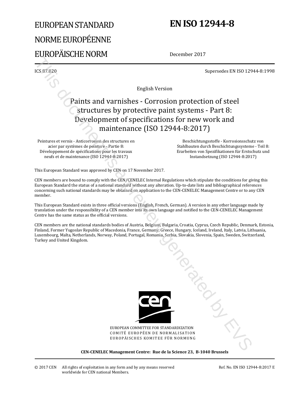# EUROPEAN STANDARD NORME EUROPÉENNE EUROPÄISCHE NORM

# **EN ISO 12944-8**

December 2017

ICS 87.020 Supersedes EN ISO 12944-8:1998

English Version

# Paints and varnishes - Corrosion protection of steel structures by protective paint systems - Part 8: Development of specifications for new work and maintenance (ISO 12944-8:2017) English Version<br>
Supersedes EN ISO 120<br>
Supersedes EN ISO 120<br>
Supersedes EN ISO 120<br>
Carliert Super Diversion (Particular Systems Forms)<br>
The Control of the Carlier Super Diversion (ISO 12944-8:2017)<br>
Carlier stromatic s

Peintures et vernis - Anticorrosion des structures en acier par systèmes de peinture - Partie 8: Développement de spécifications pour les travaux neufs et de maintenance (ISO 12944-8:2017)

 Beschichtungsstoffe - Korrosionsschutz von Stahlbauten durch Beschichtungssysteme - Teil 8: Erarbeiten von Spezifikationen für Erstschutz und Instandsetzung (ISO 12944-8:2017)

This European Standard was approved by CEN on 17 November 2017.

CEN members are bound to comply with the CEN/CENELEC Internal Regulations which stipulate the conditions for giving this European Standard the status of a national standard without any alteration. Up-to-date lists and bibliographical references concerning such national standards may be obtained on application to the CEN-CENELEC Management Centre or to any CEN member.

This European Standard exists in three official versions (English, French, German). A version in any other language made by translation under the responsibility of a CEN member into its own language and notified to the CEN-CENELEC Management Centre has the same status as the official versions.

CEN members are the national standards bodies of Austria, Belgium, Bulgaria, Croatia, Cyprus, Czech Republic, Denmark, Estonia, Finland, Former Yugoslav Republic of Macedonia, France, Germany, Greece, Hungary, Iceland, Ireland, Italy, Latvia, Lithuania, Luxembourg, Malta, Netherlands, Norway, Poland, Portugal, Romania, Serbia, Slovakia, Slovenia, Spain, Sweden, Switzerland, Turkey and United Kingdom.



EUROPEAN COMMITTEE FOR STANDARDIZATION COMITÉ EUROPÉEN DE NORMALISATION EUROPÄISCHES KOMITEE FÜR NORMUNG

#### **CEN-CENELEC Management Centre: Rue de la Science 23, B-1040 Brussels**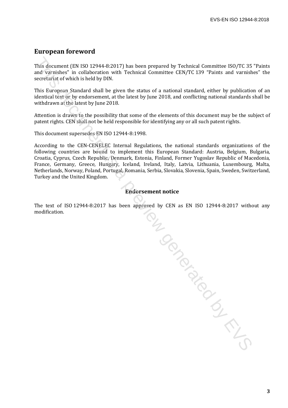#### **European foreword**

This document (EN ISO 12944-8:2017) has been prepared by Technical Committee ISO/TC 35 "Paints and varnishes" in collaboration with Technical Committee CEN/TC 139 "Paints and varnishes" the secretariat of which is held by DIN.

This European Standard shall be given the status of a national standard, either by publication of an identical text or by endorsement, at the latest by June 2018, and conflicting national standards shall be withdrawn at the latest by June 2018.

Attention is drawn to the possibility that some of the elements of this document may be the subject of patent rights. CEN shall not be held responsible for identifying any or all such patent rights.

This document supersedes EN ISO 12944-8:1998.

According to the CEN-CENELEC Internal Regulations, the national standards organizations of the following countries are bound to implement this European Standard: Austria, Belgium, Bulgaria, Croatia, Cyprus, Czech Republic, Denmark, Estonia, Finland, Former Yugoslav Republic of Macedonia, France, Germany, Greece, Hungary, Iceland, Ireland, Italy, Latvia, Lithuania, Luxembourg, Malta, Netherlands, Norway, Poland, Portugal, Romania, Serbia, Slovakia, Slovenia, Spain, Sweden, Switzerland, Turkey and the United Kingdom.

#### **Endorsement notice**

The text of ISO 12944-8:2017 has been approved by CEN as EN ISO 12944-8:2017 without any modification. Number 15 a previously in the Contract of the Contract of the Contract of the Contract of the Contract of Contract of Contract of Contract of Contract of Contract of Contract of Contract of Contract of Contract of Contract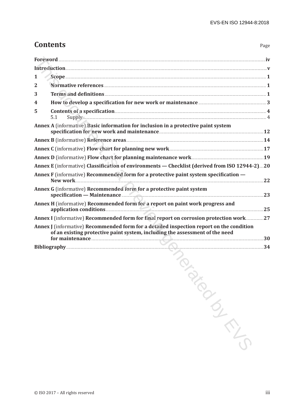Page

# **Contents**

| 1                       |                                                                                                                                                                                                                                                                                                                                                                                                                  |    |
|-------------------------|------------------------------------------------------------------------------------------------------------------------------------------------------------------------------------------------------------------------------------------------------------------------------------------------------------------------------------------------------------------------------------------------------------------|----|
| $\overline{2}$          |                                                                                                                                                                                                                                                                                                                                                                                                                  |    |
| 3                       | Terms and definitions <b>Executive Contract 2</b>                                                                                                                                                                                                                                                                                                                                                                |    |
| $\overline{\mathbf{4}}$ |                                                                                                                                                                                                                                                                                                                                                                                                                  |    |
| 5                       | Contents of a specification 4<br>5.1                                                                                                                                                                                                                                                                                                                                                                             |    |
|                         | Annex A (informative) Basic information for inclusion in a protective paint system                                                                                                                                                                                                                                                                                                                               |    |
|                         |                                                                                                                                                                                                                                                                                                                                                                                                                  |    |
|                         | Annex C (informative) Flow chart for planning new work <b>Example 2018</b> 17                                                                                                                                                                                                                                                                                                                                    |    |
|                         |                                                                                                                                                                                                                                                                                                                                                                                                                  |    |
|                         | Annex E (informative) Classification of environments - Checklist (derived from ISO 12944-2)20                                                                                                                                                                                                                                                                                                                    |    |
|                         | Annex F (informative) Recommended form for a protective paint system specification -<br>New work                                                                                                                                                                                                                                                                                                                 | 22 |
|                         | Annex G (informative) Recommended form for a protective paint system<br>specification — Maintenance                                                                                                                                                                                                                                                                                                              | 23 |
|                         |                                                                                                                                                                                                                                                                                                                                                                                                                  |    |
|                         | Annex I (informative) Recommended form for final report on corrosion protection work27                                                                                                                                                                                                                                                                                                                           |    |
|                         | Annex J (informative) Recommended form for a detailed inspection report on the condition<br>of an existing protective paint system, including the assessment of the need<br>for maintenance <b>contract of the contract of the contract of the contract of the contract of the contract of the contract of the contract of the contract of the contract of the contract of the contract of the contract of t</b> |    |
|                         |                                                                                                                                                                                                                                                                                                                                                                                                                  |    |
|                         | the contract of the contract of the contract of the contract of the contract of the contract of the contract of                                                                                                                                                                                                                                                                                                  |    |

**ARGUARY CONTROLLER**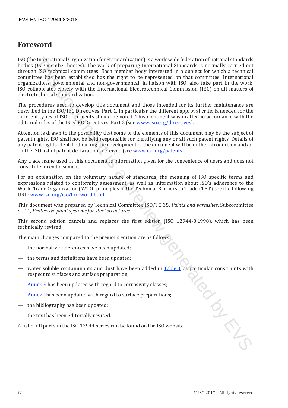# **Foreword**

ISO (the International Organization for Standardization) is a worldwide federation of national standards bodies (ISO member bodies). The work of preparing International Standards is normally carried out through ISO technical committees. Each member body interested in a subject for which a technical committee has been established has the right to be represented on that committee. International organizations, governmental and non-governmental, in liaison with ISO, also take part in the work. ISO collaborates closely with the International Electrotechnical Commission (IEC) on all matters of electrotechnical standardization. In the<br>reality ratio of proparition of Strandardization) is a worldwide detection of ratios. It<br>as the strandard field of the field of the control is a propartic than<br>1860 in the field of the characteristic matrices. Each

The procedures used to develop this document and those intended for its further maintenance are described in the ISO/IEC Directives, Part 1. In particular the different approval criteria needed for the different types of ISO documents should be noted. This document was drafted in accordance with the editorial rules of the ISO/IEC Directives, Part 2 (see www.iso.org/directives).

Attention is drawn to the possibility that some of the elements of this document may be the subject of patent rights. ISO shall not be held responsible for identifying any or all such patent rights. Details of any patent rights identified during the development of the document will be in the Introduction and/or on the ISO list of patent declarations received (see www.iso.org/patents).

Any trade name used in this document is information given for the convenience of users and does not constitute an endorsement.

For an explanation on the voluntary nature of standards, the meaning of ISO specific terms and expressions related to conformity assessment, as well as information about ISO's adherence to the World Trade Organization (WTO) principles in the Technical Barriers to Trade (TBT) see the following URL: www.iso.org/iso/foreword.html.

This document was prepared by Technical Committee ISO/TC 35, *Paints and varnishes*, Subcommittee SC 14, *Protective paint systems for steel structures*.

This second edition cancels and replaces the first edition (ISO 12944-8:1998), which has been technically revised.

The main changes compared to the previous edition are as follows:

- the normative references have been updated;
- the terms and definitions have been updated;
- water soluble contaminants and dust have been added in Table 1 as particular constraints with<br>respect to surfaces and surface preparation;<br>Annex E has been updated with regard to corrosivity classes;<br>Annex I has been updat respect to surfaces and surface preparation;
- Annex E has been updated with regard to corrosivity classes;
- Annex I has been updated with regard to surface preparations;
- the bibliography has been updated;
- the text has been editorially revised.

A list of all parts in the ISO 12944 series can be found on the ISO website.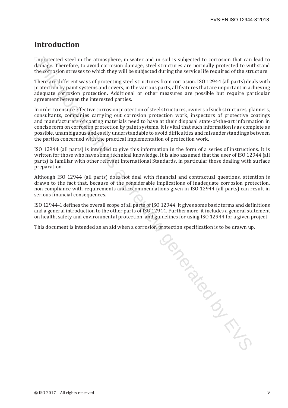# **Introduction**

Unprotected steel in the atmosphere, in water and in soil is subjected to corrosion that can lead to damage. Therefore, to avoid corrosion damage, steel structures are normally protected to withstand the corrosion stresses to which they will be subjected during the service life required of the structure.

There are different ways of protecting steel structures from corrosion. ISO 12944 (all parts) deals with protection by paint systems and covers, in the various parts, all features that are important in achieving adequate corrosion protection. Additional or other measures are possible but require particular agreement between the interested parties.

In order to ensure effective corrosion protection of steel structures, owners of such structures, planners, consultants, companies carrying out corrosion protection work, inspectors of protective coatings and manufacturers of coating materials need to have at their disposal state-of-the-art information in concise form on corrosion protection by paint systems. It is vital that such information is as complete as possible, unambiguous and easily understandable to avoid difficulties and misunderstandings between the parties concerned with the practical implementation of protection work.

ISO 12944 (all parts) is intended to give this information in the form of a series of instructions. It is written for those who have some technical knowledge. It is also assumed that the user of ISO 12944 (all parts) is familiar with other relevant International Standards, in particular those dealing with surface preparation.

Although ISO 12944 (all parts) does not deal with financial and contractual questions, attention is drawn to the fact that, because of the considerable implications of inadequate corrosion protection, non-compliance with requirements and recommendations given in ISO 12944 (all parts) can result in serious financial consequences.

ISO 12944-1 defines the overall scope of all parts of ISO 12944. It gives some basic terms and definitions and a general introduction to the other parts of ISO 12944. Furthermore, it includes a general statement on health, safety and environmental protection, and guidelines for using ISO 12944 for a given project.

This document is intended as an aid when a corrosion protection specification is to be drawn up.

Senerated is a previous critical